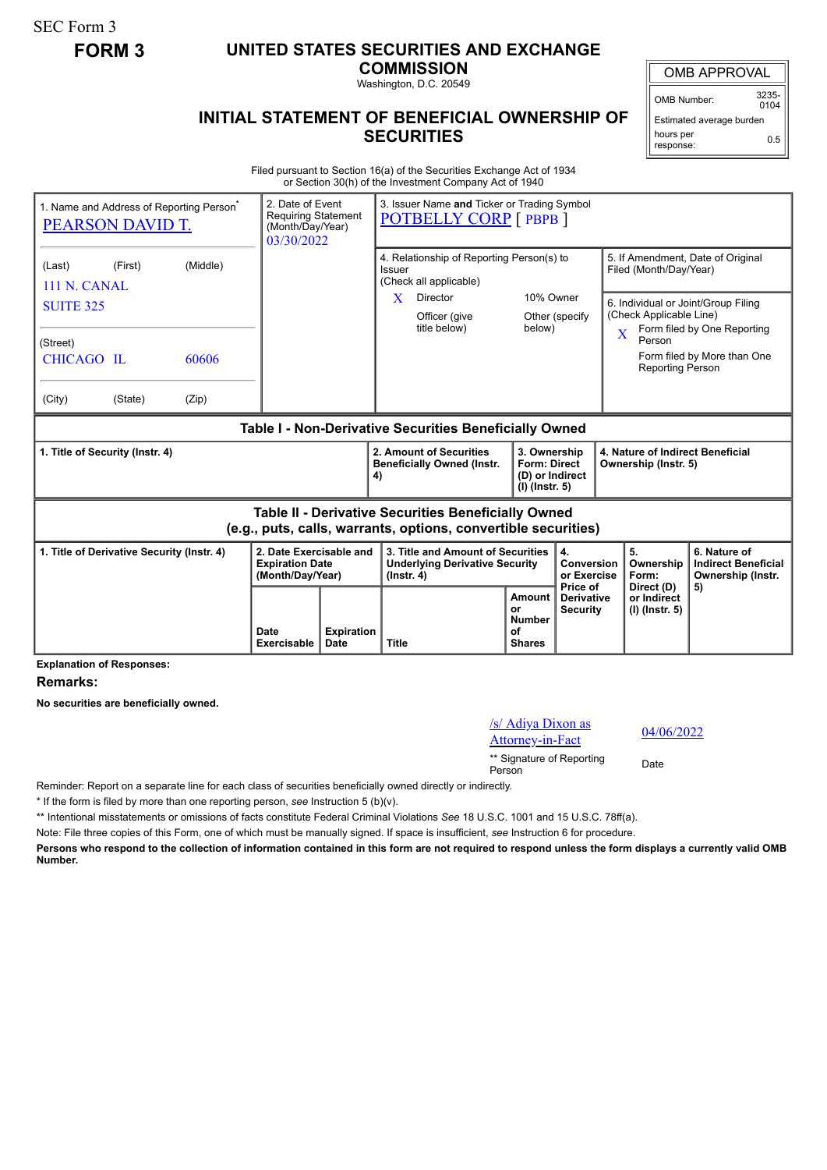SEC Form 3

## **FORM 3 UNITED STATES SECURITIES AND EXCHANGE**

**COMMISSION** Washington, D.C. 20549

OMB APPROVAL

OMB Number: 3235-  $0104$ 

0.5

Estimated average burden hours per

response:

## **INITIAL STATEMENT OF BENEFICIAL OWNERSHIP OF SECURITIES**

Filed pursuant to Section 16(a) of the Securities Exchange Act of 1934 or Section 30(h) of the Investment Company Act of 1940

| 1. Name and Address of Reporting Person <sup>®</sup><br><b>PEARSON DAVID T.</b>                                       |         |          | 03/30/2022                                                            | 3. Issuer Name and Ticker or Trading Symbol<br>2. Date of Event<br><b>Requiring Statement</b><br><b>POTBELLY CORP</b> [ PBPB ]<br>(Month/Day/Year) |                                                                                                |                                                                          |                                                                                                                          |                                                             |                                                                 |
|-----------------------------------------------------------------------------------------------------------------------|---------|----------|-----------------------------------------------------------------------|----------------------------------------------------------------------------------------------------------------------------------------------------|------------------------------------------------------------------------------------------------|--------------------------------------------------------------------------|--------------------------------------------------------------------------------------------------------------------------|-------------------------------------------------------------|-----------------------------------------------------------------|
| (Last)<br>111 N. CANAL                                                                                                | (First) | (Middle) |                                                                       |                                                                                                                                                    | 4. Relationship of Reporting Person(s) to<br>Issuer<br>(Check all applicable)                  |                                                                          |                                                                                                                          | 5. If Amendment, Date of Original<br>Filed (Month/Day/Year) |                                                                 |
| <b>SUITE 325</b>                                                                                                      |         |          |                                                                       | X<br>Director<br>Officer (give<br>title below)<br>below)                                                                                           |                                                                                                | 10% Owner<br>Other (specify                                              | 6. Individual or Joint/Group Filing<br>(Check Applicable Line)<br>Form filed by One Reporting<br>$\overline{\mathbf{X}}$ |                                                             |                                                                 |
| (Street)<br><b>CHICAGO IL</b>                                                                                         |         | 60606    |                                                                       |                                                                                                                                                    |                                                                                                |                                                                          |                                                                                                                          | Person<br><b>Reporting Person</b>                           | Form filed by More than One                                     |
| (City)                                                                                                                | (State) | (Zip)    |                                                                       |                                                                                                                                                    |                                                                                                |                                                                          |                                                                                                                          |                                                             |                                                                 |
| Table I - Non-Derivative Securities Beneficially Owned                                                                |         |          |                                                                       |                                                                                                                                                    |                                                                                                |                                                                          |                                                                                                                          |                                                             |                                                                 |
| 1. Title of Security (Instr. 4)                                                                                       |         |          |                                                                       |                                                                                                                                                    | 2. Amount of Securities<br><b>Beneficially Owned (Instr.</b><br>4)                             | 3. Ownership<br><b>Form: Direct</b><br>(D) or Indirect<br>(I) (Instr. 5) |                                                                                                                          | 4. Nature of Indirect Beneficial<br>Ownership (Instr. 5)    |                                                                 |
| Table II - Derivative Securities Beneficially Owned<br>(e.g., puts, calls, warrants, options, convertible securities) |         |          |                                                                       |                                                                                                                                                    |                                                                                                |                                                                          |                                                                                                                          |                                                             |                                                                 |
| 1. Title of Derivative Security (Instr. 4)                                                                            |         |          | 2. Date Exercisable and<br><b>Expiration Date</b><br>(Month/Day/Year) |                                                                                                                                                    | 3. Title and Amount of Securities<br><b>Underlying Derivative Security</b><br>$($ lnstr. 4 $)$ |                                                                          | 4.<br>Conversion<br>or Exercise                                                                                          | 5.<br>Ownership<br>Form:                                    | 6. Nature of<br><b>Indirect Beneficial</b><br>Ownership (Instr. |
|                                                                                                                       |         |          | Date<br><b>Exercisable</b>                                            | <b>Expiration</b><br><b>Date</b>                                                                                                                   | <b>Title</b>                                                                                   | Amount<br>or<br><b>Number</b><br>of<br><b>Shares</b>                     | Price of<br><b>Derivative</b><br><b>Security</b>                                                                         | Direct (D)<br>or Indirect<br>(I) (Instr. 5)                 | 5)                                                              |

**Explanation of Responses:**

**Remarks:**

**No securities are beneficially owned.**

/s/ Adiya Dixon as  $\frac{1}{87}$  Adiya Dixon as  $\frac{04}{06/2022}$ 

\*\* Signature of Reporting Person Date

Reminder: Report on a separate line for each class of securities beneficially owned directly or indirectly.

\* If the form is filed by more than one reporting person, *see* Instruction 5 (b)(v).

\*\* Intentional misstatements or omissions of facts constitute Federal Criminal Violations *See* 18 U.S.C. 1001 and 15 U.S.C. 78ff(a).

Note: File three copies of this Form, one of which must be manually signed. If space is insufficient, *see* Instruction 6 for procedure.

**Persons who respond to the collection of information contained in this form are not required to respond unless the form displays a currently valid OMB Number.**